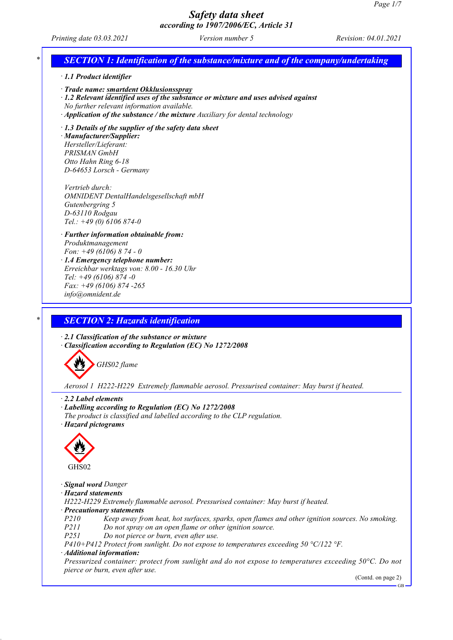# *Printing date 03.03.2021 Version number 5 Revision: 04.01.2021 \* SECTION 1: Identification of the substance/mixture and of the company/undertaking · 1.1 Product identifier · Trade name: smartdent Okklusionsspray · 1.2 Relevant identified uses of the substance or mixture and uses advised against No further relevant information available. · Application of the substance / the mixture Auxiliary for dental technology · 1.3 Details of the supplier of the safety data sheet · Manufacturer/Supplier: Hersteller/Lieferant: PRISMAN GmbH Otto Hahn Ring 6-18 D-64653 Lorsch - Germany Vertrieb durch: OMNIDENT DentalHandelsgesellschaft mbH Gutenbergring 5 D-63110 Rodgau Tel.: +49 (0) 6106 874-0 · Further information obtainable from: Produktmanagement Fon: +49 (6106) 8 74 - 0 · 1.4 Emergency telephone number: Erreichbar werktags von: 8.00 - 16.30 Uhr Tel: +49 (6106) 874 -0 Fax: +49 (6106) 874 -265 info@omnident.de \* SECTION 2: Hazards identification · 2.1 Classification of the substance or mixture*

*· Classification according to Regulation (EC) No 1272/2008*



*Aerosol 1 H222-H229 Extremely flammable aerosol. Pressurised container: May burst if heated.*

*· 2.2 Label elements*

*· Labelling according to Regulation (EC) No 1272/2008*

*The product is classified and labelled according to the CLP regulation. · Hazard pictograms*



*· Signal word Danger*

*· Hazard statements*

*H222-H229 Extremely flammable aerosol. Pressurised container: May burst if heated.*

*· Precautionary statements*

*P210 Keep away from heat, hot surfaces, sparks, open flames and other ignition sources. No smoking.*

*P211 Do not spray on an open flame or other ignition source.*

*P251 Do not pierce or burn, even after use.*

*P410+P412 Protect from sunlight. Do not expose to temperatures exceeding 50 °C/122 °F.*

#### *· Additional information:*

*Pressurized container: protect from sunlight and do not expose to temperatures exceeding 50°C. Do not pierce or burn, even after use.*

(Contd. on page 2)

GB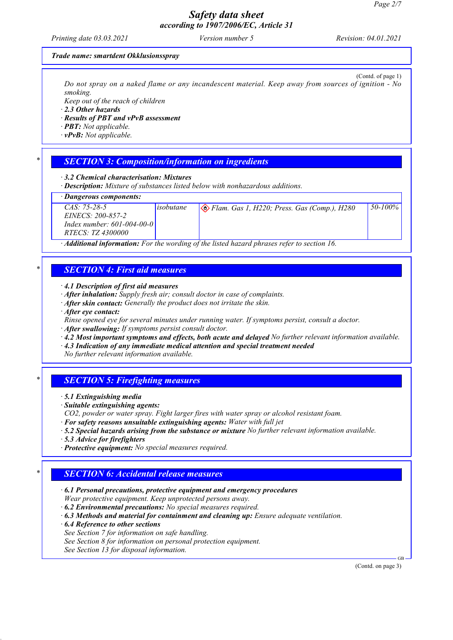*Printing date 03.03.2021 Version number 5 Revision: 04.01.2021*

#### *Trade name: smartdent Okklusionsspray*

(Contd. of page 1) Do not spray on a naked flame or any incandescent material. Keep away from sources of ignition - No *smoking.*

*Keep out of the reach of children*

*· 2.3 Other hazards*

*· Results of PBT and vPvB assessment*

*· PBT: Not applicable.*

*· vPvB: Not applicable.*

#### *\* SECTION 3: Composition/information on ingredients*

*· 3.2 Chemical characterisation: Mixtures*

*· Description: Mixture of substances listed below with nonhazardous additions.*

*· Dangerous components:*

| $CAS: 75-28-5$               | <i>isobutane</i> | Elam. Gas 1, H220; Press. Gas (Comp.), H280 | $150 - 100\%$ |
|------------------------------|------------------|---------------------------------------------|---------------|
| <i>EINECS: 200-857-2</i>     |                  |                                             |               |
| Index number: $601-004-00-0$ |                  |                                             |               |
| <i>RTECS: TZ 4300000</i>     |                  |                                             |               |
| $\cdots$                     |                  | $7.1 \t1.1 \t11$                            |               |

*· Additional information: For the wording of the listed hazard phrases refer to section 16.*

# *\* SECTION 4: First aid measures*

*· 4.1 Description of first aid measures*

*· After inhalation: Supply fresh air; consult doctor in case of complaints.*

- *· After skin contact: Generally the product does not irritate the skin.*
- *· After eye contact:*

*Rinse opened eye for several minutes under running water. If symptoms persist, consult a doctor.*

- *· After swallowing: If symptoms persist consult doctor.*
- *· 4.2 Most important symptoms and effects, both acute and delayed No further relevant information available.*

*· 4.3 Indication of any immediate medical attention and special treatment needed*

*No further relevant information available.*

### *\* SECTION 5: Firefighting measures*

*· 5.1 Extinguishing media*

*· Suitable extinguishing agents:*

- *CO2, powder or water spray. Fight larger fires with water spray or alcohol resistant foam.*
- *· For safety reasons unsuitable extinguishing agents: Water with full jet*
- *· 5.2 Special hazards arising from the substance or mixture No further relevant information available.*
- *· 5.3 Advice for firefighters*
- *· Protective equipment: No special measures required.*

### *\* SECTION 6: Accidental release measures*

*· 6.1 Personal precautions, protective equipment and emergency procedures Wear protective equipment. Keep unprotected persons away.*

*· 6.2 Environmental precautions: No special measures required.*

*· 6.3 Methods and material for containment and cleaning up: Ensure adequate ventilation.*

*· 6.4 Reference to other sections*

*See Section 7 for information on safe handling.*

*See Section 8 for information on personal protection equipment.*

*See Section 13 for disposal information.*

(Contd. on page 3)

GB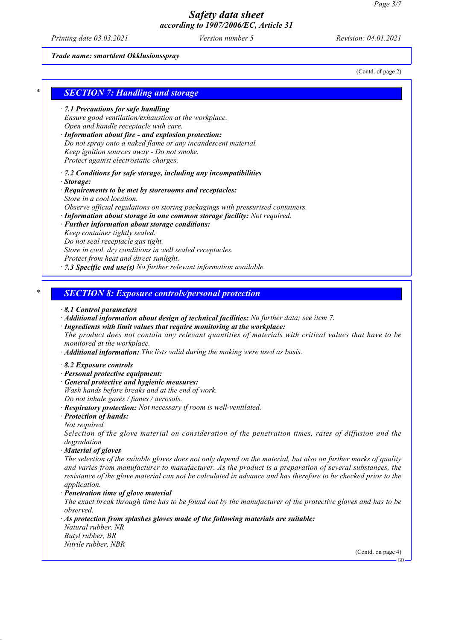*Printing date 03.03.2021 Version number 5 Revision: 04.01.2021*

*Trade name: smartdent Okklusionsspray*

(Contd. of page 2)

# *\* SECTION 7: Handling and storage · 7.1 Precautions for safe handling Ensure good ventilation/exhaustion at the workplace.*

- *Open and handle receptacle with care. · Information about fire - and explosion protection:*
- *Do not spray onto a naked flame or any incandescent material. Keep ignition sources away - Do not smoke. Protect against electrostatic charges.*
- *· 7.2 Conditions for safe storage, including any incompatibilities*
- *· Storage:*
- *· Requirements to be met by storerooms and receptacles: Store in a cool location.*
- *Observe official regulations on storing packagings with pressurised containers.*
- *· Information about storage in one common storage facility: Not required.*
- *· Further information about storage conditions:*
- *Keep container tightly sealed. Do not seal receptacle gas tight. Store in cool, dry conditions in well sealed receptacles. Protect from heat and direct sunlight.*
- *· 7.3 Specific end use(s) No further relevant information available.*

### *\* SECTION 8: Exposure controls/personal protection*

#### *· 8.1 Control parameters*

- *· Additional information about design of technical facilities: No further data; see item 7.*
- *· Ingredients with limit values that require monitoring at the workplace:*

*The product does not contain any relevant quantities of materials with critical values that have to be monitored at the workplace.*

*· Additional information: The lists valid during the making were used as basis.*

#### *· 8.2 Exposure controls*

- *· Personal protective equipment:*
- *· General protective and hygienic measures:*
- *Wash hands before breaks and at the end of work. Do not inhale gases / fumes / aerosols.*
- *· Respiratory protection: Not necessary if room is well-ventilated.*
- *· Protection of hands:*
- *Not required.*

*Selection of the glove material on consideration of the penetration times, rates of diffusion and the degradation*

*· Material of gloves*

The selection of the suitable gloves does not only depend on the material, but also on further marks of quality *and varies from manufacturer to manufacturer. As the product is a preparation of several substances, the* resistance of the glove material can not be calculated in advance and has therefore to be checked prior to the *application.*

*· Penetration time of glove material*

The exact break through time has to be found out by the manufacturer of the protective gloves and has to be *observed.*

*· As protection from splashes gloves made of the following materials are suitable: Natural rubber, NR Butyl rubber, BR*

*Nitrile rubber, NBR*

(Contd. on page 4)

GB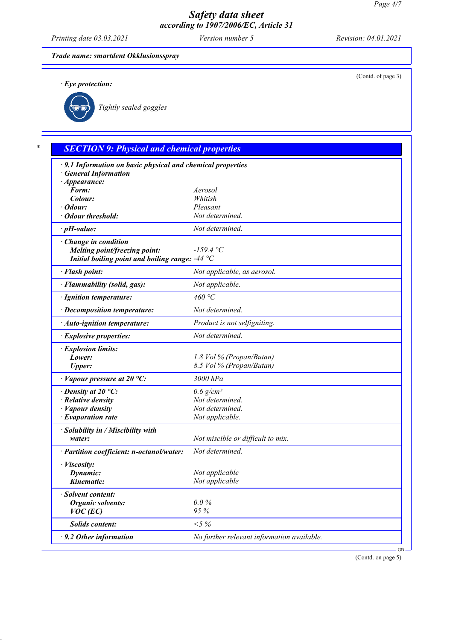*Printing date 03.03.2021 Version number 5 Revision: 04.01.2021*

(Contd. of page 3)

#### *Trade name: smartdent Okklusionsspray*

*· Eye protection:*



*Tightly sealed goggles*

# *\* SECTION 9: Physical and chemical properties*

| · 9.1 Information on basic physical and chemical properties                                                                      |                                            |           |
|----------------------------------------------------------------------------------------------------------------------------------|--------------------------------------------|-----------|
| <b>General Information</b>                                                                                                       |                                            |           |
| · Appearance:                                                                                                                    |                                            |           |
| Form:                                                                                                                            | Aerosol                                    |           |
| Colour:                                                                                                                          | Whitish                                    |           |
| · Odour:                                                                                                                         | Pleasant                                   |           |
| Odour threshold:                                                                                                                 | Not determined.                            |           |
| $\cdot$ pH-value:                                                                                                                | Not determined.                            |           |
| · Change in condition<br>Melting point/freezing point:<br>Initial boiling point and boiling range: $-44\text{ }^{\circ}\text{C}$ | $-159.4 °C$                                |           |
| · Flash point:                                                                                                                   | Not applicable, as aerosol.                |           |
| · Flammability (solid, gas):                                                                                                     | Not applicable.                            |           |
| · Ignition temperature:                                                                                                          | 460 °C                                     |           |
| · Decomposition temperature:                                                                                                     | Not determined.                            |           |
| · Auto-ignition temperature:                                                                                                     | Product is not selfigniting.               |           |
| · Explosive properties:                                                                                                          | Not determined.                            |           |
| · Explosion limits:                                                                                                              |                                            |           |
| Lower:                                                                                                                           | 1.8 Vol % (Propan/Butan)                   |           |
| <b>Upper:</b>                                                                                                                    | 8.5 Vol % (Propan/Butan)                   |           |
| $\cdot$ Vapour pressure at 20 °C:                                                                                                | 3000 hPa                                   |           |
| $\cdot$ Density at 20 °C:                                                                                                        | $0.6$ g/cm <sup>3</sup>                    |           |
| · Relative density                                                                                                               | Not determined.                            |           |
| · Vapour density                                                                                                                 | Not determined.                            |           |
| $\cdot$ Evaporation rate                                                                                                         | Not applicable.                            |           |
| · Solubility in / Miscibility with                                                                                               |                                            |           |
| water:                                                                                                                           | Not miscible or difficult to mix.          |           |
| · Partition coefficient: n-octanol/water:                                                                                        | Not determined.                            |           |
| · <i>Viscosity</i> :                                                                                                             |                                            |           |
| Dynamic:                                                                                                                         | Not applicable                             |           |
| Kinematic:                                                                                                                       | Not applicable                             |           |
| · Solvent content:                                                                                                               |                                            |           |
| <b>Organic solvents:</b>                                                                                                         | $0.0\%$                                    |           |
| $VOC$ (EC)                                                                                                                       | 95%                                        |           |
| <b>Solids content:</b>                                                                                                           | ${<}5\%$                                   |           |
| $\cdot$ 9.2 Other information                                                                                                    | No further relevant information available. |           |
|                                                                                                                                  |                                            | <b>GB</b> |

(Contd. on page 5)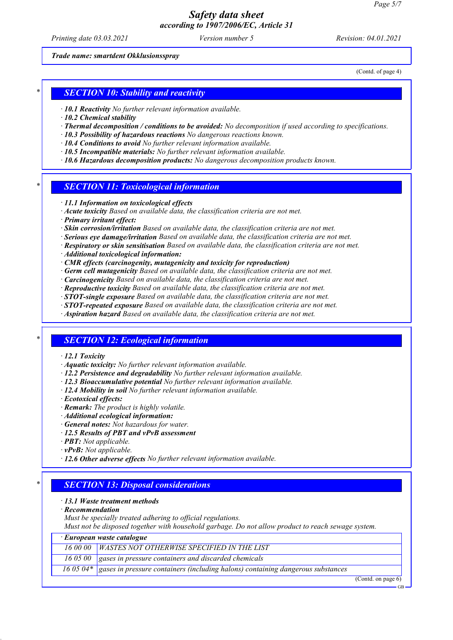*Printing date 03.03.2021 Version number 5 Revision: 04.01.2021*

*Trade name: smartdent Okklusionsspray*

(Contd. of page 4)

### *\* SECTION 10: Stability and reactivity*

- *· 10.1 Reactivity No further relevant information available.*
- *· 10.2 Chemical stability*
- *· Thermal decomposition / conditions to be avoided: No decomposition if used according to specifications.*
- *· 10.3 Possibility of hazardous reactions No dangerous reactions known.*
- *· 10.4 Conditions to avoid No further relevant information available.*
- *· 10.5 Incompatible materials: No further relevant information available.*
- *· 10.6 Hazardous decomposition products: No dangerous decomposition products known.*

### *\* SECTION 11: Toxicological information*

- *· 11.1 Information on toxicological effects*
- *· Acute toxicity Based on available data, the classification criteria are not met.*
- *· Primary irritant effect:*
- *· Skin corrosion/irritation Based on available data, the classification criteria are not met.*
- *· Serious eye damage/irritation Based on available data, the classification criteria are not met.*
- *· Respiratory or skin sensitisation Based on available data, the classification criteria are not met.*
- *· Additional toxicological information:*
- *· CMR effects (carcinogenity, mutagenicity and toxicity for reproduction)*
- *· Germ cell mutagenicity Based on available data, the classification criteria are not met.*
- *· Carcinogenicity Based on available data, the classification criteria are not met.*
- *· Reproductive toxicity Based on available data, the classification criteria are not met.*
- *· STOT-single exposure Based on available data, the classification criteria are not met.*
- *· STOT-repeated exposure Based on available data, the classification criteria are not met.*
- *· Aspiration hazard Based on available data, the classification criteria are not met.*

### *\* SECTION 12: Ecological information*

#### *· 12.1 Toxicity*

- *· Aquatic toxicity: No further relevant information available.*
- *· 12.2 Persistence and degradability No further relevant information available.*
- *· 12.3 Bioaccumulative potential No further relevant information available.*
- *· 12.4 Mobility in soil No further relevant information available.*
- *· Ecotoxical effects:*
- *· Remark: The product is highly volatile.*
- *· Additional ecological information:*
- *· General notes: Not hazardous for water.*
- *· 12.5 Results of PBT and vPvB assessment*
- *· PBT: Not applicable.*
- *· vPvB: Not applicable.*
- *· 12.6 Other adverse effects No further relevant information available.*

### *\* SECTION 13: Disposal considerations*

#### *· 13.1 Waste treatment methods*

*· Recommendation*

*Must be specially treated adhering to official regulations.*

*Must not be disposed together with household garbage. Do not allow product to reach sewage system.*

| $\cdot$ European waste catalogue                                      |                        |
|-----------------------------------------------------------------------|------------------------|
| 16 00 00 WASTES NOT OTHERWISE SPECIFIED IN THE LIST                   |                        |
| 16 05 00 $\vert$ gases in pressure containers and discarded chemicals |                        |
|                                                                       |                        |
|                                                                       | $(0, 1, 1, \ldots, 0)$ |

(Contd. on page 6) GB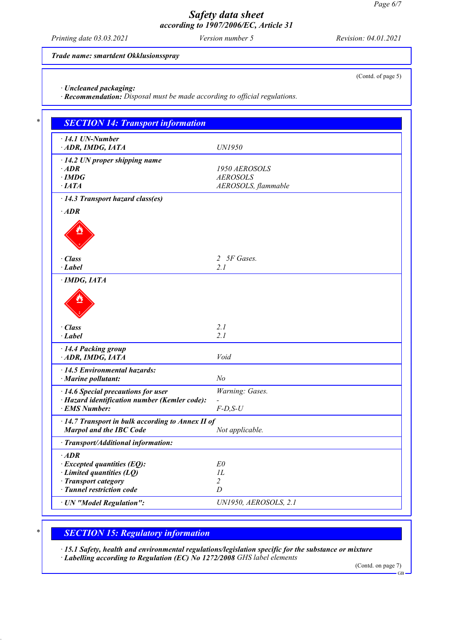*Printing date 03.03.2021 Version number 5 Revision: 04.01.2021*

(Contd. of page 5)

*Trade name: smartdent Okklusionsspray*

*· Uncleaned packaging:*

*· Recommendation: Disposal must be made according to official regulations.*

| $\cdot$ 14.1 UN-Number<br>· ADR, IMDG, IATA       | <b>UN1950</b>       |
|---------------------------------------------------|---------------------|
| $\cdot$ 14.2 UN proper shipping name              |                     |
| $\cdot$ ADR                                       | 1950 AEROSOLS       |
| $\cdot$ IMDG                                      | <b>AEROSOLS</b>     |
| $\cdot$ IATA                                      | AEROSOLS, flammable |
| · 14.3 Transport hazard class(es)                 |                     |
| $\cdot$ ADR                                       |                     |
|                                                   |                     |
|                                                   |                     |
|                                                   |                     |
| · Class                                           | 2 5F Gases.         |
| $\cdot$ Label                                     | 2.1                 |
| $\cdot$ IMDG, IATA                                |                     |
| $\cdot$ Class<br>$\cdot$ Label                    | 2.1<br>2.1          |
|                                                   |                     |
| · 14.4 Packing group                              |                     |
| ADR, IMDG, IATA                                   | Void                |
| $\cdot$ 14.5 Environmental hazards:               |                     |
| · Marine pollutant:                               | N <sub>o</sub>      |
| $\cdot$ 14.6 Special precautions for user         | Warning: Gases.     |
| · Hazard identification number (Kemler code):     |                     |
| · EMS Number:                                     | $F$ -D,S-U          |
| · 14.7 Transport in bulk according to Annex II of |                     |
| <b>Marpol and the IBC Code</b>                    | Not applicable.     |
| · Transport/Additional information:               |                     |
| $\cdot$ ADR                                       |                     |
| $\cdot$ Excepted quantities (EQ):                 | E0                  |
| $\cdot$ Limited quantities (LQ)                   | IL                  |
| · Transport category                              | $\overline{2}$      |
| · Tunnel restriction code                         | $\boldsymbol{D}$    |

# *\* SECTION 15: Regulatory information*

*· 15.1 Safety, health and environmental regulations/legislation specific for the substance or mixture · Labelling according to Regulation (EC) No 1272/2008 GHS label elements*

(Contd. on page 7)